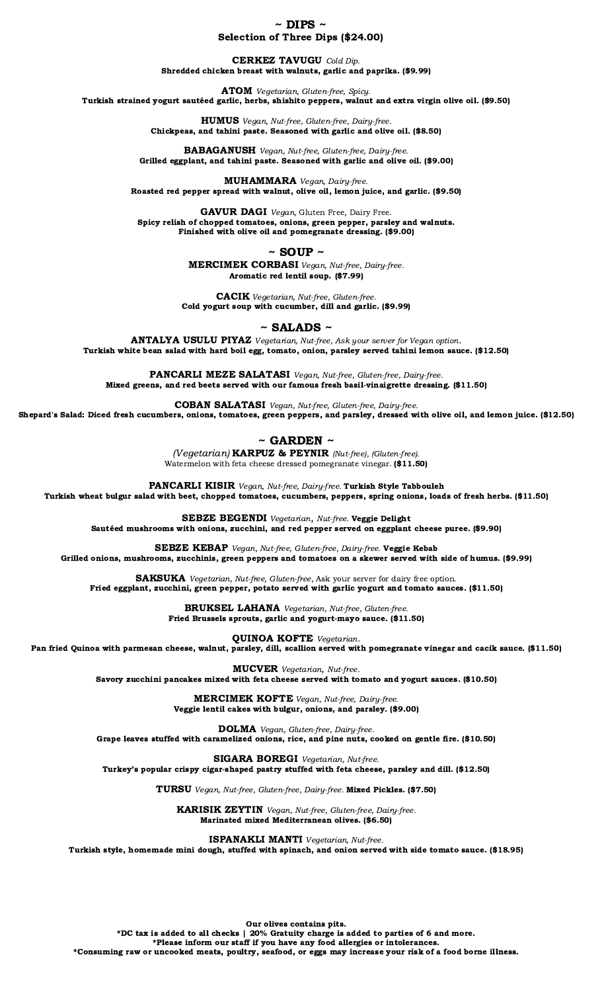$\sim$  DIPS  $\sim$ Selection of Three Dips (\$24.00)

CERKEZ TAVUGU Cold Dip. Shredded chicken breast with walnuts, garlic and paprika. (\$9.99)

ATOM Vegetarian, Gluten-free, Spicy. Turkish strained yogurt sautéed garlic, herbs, shishito peppers, walnut and extra virgin olive oil. (\$9.50)

> HUMUS Vegan, Nut-free, Gluten-free, Dairy-free. Chickpeas, and tahini paste. Seasoned with garlic and olive oil. (\$8.50)

BABAGANUSH Vegan, Nut-free, Gluten-free, Dairy-free. Grilled eggplant, and tahini paste. Seasoned with garlic and olive oil. (\$9.00)

MUHAMMARA Vegan, Dairy-free. Roasted red pepper spread with walnut, olive oil, lemon juice, and garlic. (\$9.50)

GAVUR DAGI Vegan, Gluten Free, Dairy Free. Spicy relish of chopped tomatoes, onions, green pepper, parsley and walnuts. Finished with olive oil and pomegranate dressing. (\$9.00)

 $\sim$  SOUP  $\sim$ 

MERCIMEK CORBASI Vegan, Nut-free, Dairy-free. Aromatic red lentil soup. (\$7.99)

CACIK Vegetarian, Nut-free, Gluten-free. Cold yogurt soup with cucumber, dill and garlic. (\$9.99)

 $\sim$  SALADS  $\sim$ 

ANTALYA USULU PIYAZ Vegetarian, Nut-free, Ask your server for Vegan option. Turkish white bean salad with hard boil egg, tomato, onion, parsley served tahini lemon sauce. (\$12.50)

PANCARLI MEZE SALATASI Vegan, Nut-free, Gluten-free, Dairy-free. Mixed greens, and red beets served with our famous fresh basil-vinaigrette dressing. (\$11.50)

COBAN SALATASI Vegan, Nut-free, Gluten-free, Dairy-free. Shepard's Salad: Diced fresh cucumbers, onions, tomatoes, green peppers, and parsley, dressed with olive oil, and lemon juice. (\$12.50)

 $\sim$  GARDEN  $\sim$ 

(Vegetarian) KARPUZ & PEYNIR (Nut-free), (Gluten-free). Watermelon with feta cheese dressed pomegranate vinegar. (\$11.50)

PANCARLI KISIR Vegan, Nut-free, Dairy-free. Turkish Style Tabbouleh

Turkish wheat bulgur salad with beet, chopped tomatoes, cucumbers, peppers, spring onions, loads of fresh herbs. (\$11.50)

SEBZE BEGENDI Vegetarian, Nut-free. Veggie Delight

Sautéed mushrooms with onions, zucchini, and red pepper served on eggplant cheese puree. (\$9.90)

SEBZE KEBAP Vegan, Nut-free, Gluten-free, Dairy-free. Veggie Kebab Grilled onions, mushrooms, zucchinis, green peppers and tomatoes on a skewer served with side of humus. (\$9.99)

SAKSUKA Vegetarian, Nut-free, Gluten-free, Ask your server for dairy free option. Fried eggplant, zucchini, green pepper, potato served with garlic yogurt and tomato sauces. (\$11.50)

BRUKSEL LAHANA Vegetarian, Nut-free, Gluten-free.

Fried Brussels sprouts, garlic and yogurt-mayo sauce. (\$11.50)

QUINOA KOFTE Vegetarian.

Pan fried Quinoa with parmesan cheese, walnut, parsley, dill, scallion served with pomegranate vinegar and cacik sauce. (\$11.50)

MUCVER Vegetarian, Nut-free.

Savory zucchini pancakes mixed with feta cheese served with tomato and yogurt sauces. (\$10.50)

MERCIMEK KOFTE Vegan, Nut-free, Dairy-free. Veggie lentil cakes with bulgur, onions, and parsley. (\$9.00)

DOLMA Vegan, Gluten-free, Dairy-free.

Grape leaves stuffed with caramelized onions, rice, and pine nuts, cooked on gentle fire. (\$10.50)

SIGARA BOREGI Vegetarian, Nut-free. Turkey's popular crispy cigar-shaped pastry stuffed with feta cheese, parsley and dill. (\$12.50)

TURSU Vegan, Nut-free, Gluten-free, Dairy-free. Mixed Pickles. (\$7.50)

KARISIK ZEYTIN Vegan, Nut-free, Gluten-free, Dairy-free. Marinated mixed Mediterranean olives. (\$6.50)

ISPANAKLI MANTI Vegetarian, Nut-free.

Turkish style, homemade mini dough, stuffed with spinach, and onion served with side tomato sauce. (\$18.95)

Our olives contains pits. \*DC tax is added to all checks | 20% Gratuity charge is added to parties of 6 and more. \*Please inform our staff if you have any food allergies or intolerances. \*Consuming raw or uncooked meats, poultry, seafood, or eggs may increase your risk of a food borne illness.